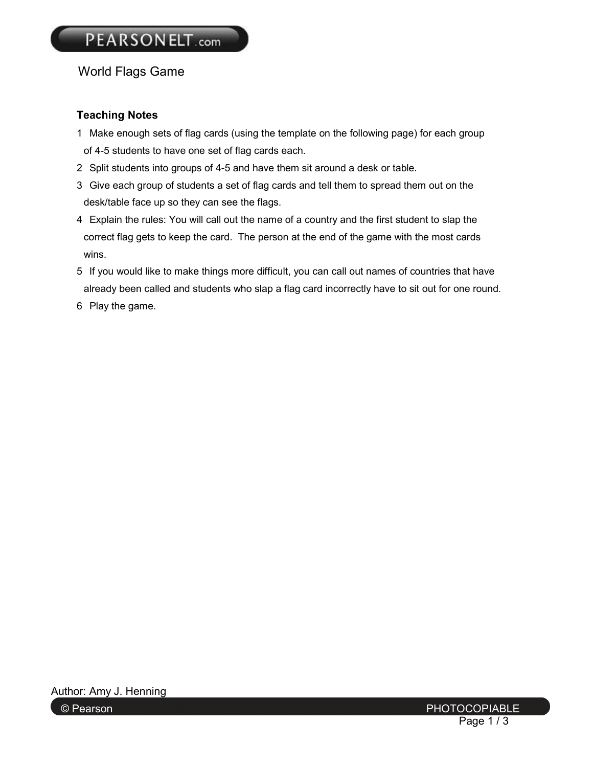## World Flags Game

## **Teaching Notes**

- 1 Make enough sets of flag cards (using the template on the following page) for each group of 4-5 students to have one set of flag cards each.
- 2 Split students into groups of 4-5 and have them sit around a desk or table.
- 3 Give each group of students a set of flag cards and tell them to spread them out on the desk/table face up so they can see the flags.
- 4 Explain the rules: You will call out the name of a country and the first student to slap the correct flag gets to keep the card. The person at the end of the game with the most cards wins.
- 5 If you would like to make things more difficult, you can call out names of countries that have already been called and students who slap a flag card incorrectly have to sit out for one round.
- 6 Play the game.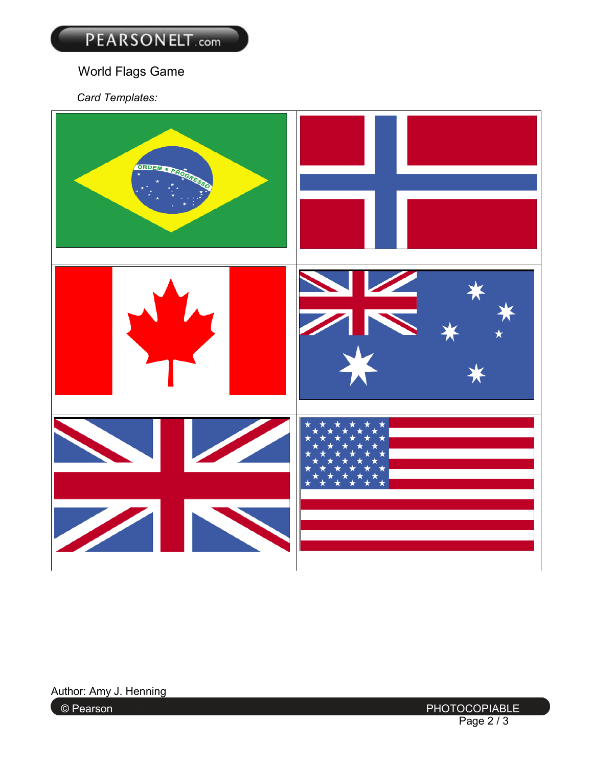## World Flags Game

*Card Templates:* 



Author: Amy J. Henning